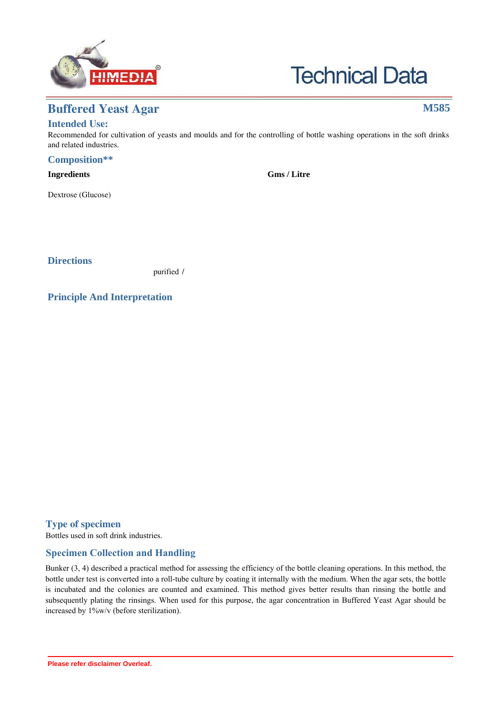



# **Buffered Yeast Agar M585**

## **Intended Use:**

Recommended for cultivation of yeasts and moulds and for the controlling of bottle washing operations in the soft drinks and related industries.

### **Composition\*\***

| <b>Ingredients</b>            | <b>Gms</b> / Litre |
|-------------------------------|--------------------|
| Yeast extract                 | 5.000              |
| Dextrose (Glucose)            | 20.000             |
| Ammonium sulphate             | 0.720              |
| Ammonium dihydrogen phosphate | 0.260              |
| Agar                          | 15.000             |
| Final pH ( at $25^{\circ}$ C) | $5.5 \pm 0.2$      |
|                               |                    |

\*\*Formula adjusted, standardized to suit performance parameters

## **Directions**

Suspend 41 grams in 1000 ml purified / distilled water. Heat to boiling to dissolve the medium completely. Sterilize by autoclaving at 115°C for 20 minutes. Mix well and pour into sterile Petri plates.

## **Principle And Interpretation**

Yeasts grow well on a minimal medium containing only dextrose and salts. The addition of yeast extract allows faster growth so that during exponential or log phase growth, the cells divide every 90 minutes (1). Buffered Yeast Agar is prepared as per the modification of the yeast-salt medium described by Davis (2).

The medium contains yeast extract, which supplies B-complex vitamins to stimulate growth. Dextrose is the carbohydrate source. The reaction of this medium can be adjusted to required pH values by the addition of citric or lactic acid to the medium after sterilization. The following table shows the amount of the acids required to be added to 100 ml of Buffered Yeast Agar cooled to 50°C.

Volume of acid to be added to 100 ml of medium to achieve the desired pH

| pH   | $1\%$ w/v solution of        | $1\%$ w/v solution of<br>Lactic acid (ml) |  |
|------|------------------------------|-------------------------------------------|--|
|      | Citric acid monohydrate (ml) |                                           |  |
| 4.75 | 1.26                         | 0.125                                     |  |
| 4.5  | 2.24                         | 0.2                                       |  |
| 4.25 | 3.92                         | 0.3                                       |  |
| 4.0  | 6.16                         | 0.45                                      |  |
| 3.75 | 9.52                         | 0.7                                       |  |
| 3.5  | 14.56                        | 1.17                                      |  |

## **Type of specimen**

Bottles used in soft drink industries.

## **Specimen Collection and Handling:**

Bunker (3, 4) described a practical method for assessing the efficiency of the bottle cleaning operations. In this method, the bottle under test is converted into a roll-tube culture by coating it internally with the medium. When the agar sets, the bottle is incubated and the colonies are counted and examined. This method gives better results than rinsing the bottle and subsequently plating the rinsings. When used for this purpose, the agar concentration in Buffered Yeast Agar should be increased by 1%w/v (before sterilization).